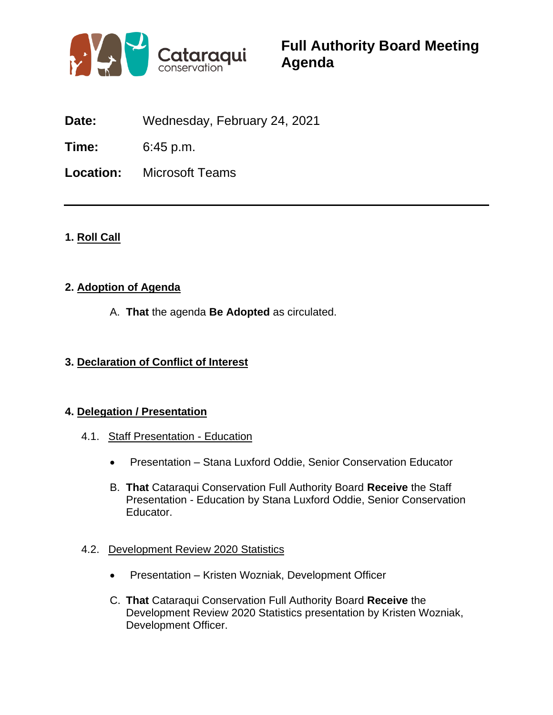

**Date:** Wednesday, February 24, 2021

**Time:** 6:45 p.m.

**Location:** Microsoft Teams

# **1. Roll Call**

## **2. Adoption of Agenda**

A. **That** the agenda **Be Adopted** as circulated.

# **3. Declaration of Conflict of Interest**

## **4. Delegation / Presentation**

- 4.1. Staff Presentation Education
	- Presentation Stana Luxford Oddie, Senior Conservation Educator
	- B. **That** Cataraqui Conservation Full Authority Board **Receive** the Staff Presentation - Education by Stana Luxford Oddie, Senior Conservation Educator.
- 4.2. Development Review 2020 Statistics
	- Presentation Kristen Wozniak, Development Officer
	- C. **That** Cataraqui Conservation Full Authority Board **Receive** the Development Review 2020 Statistics presentation by Kristen Wozniak, Development Officer.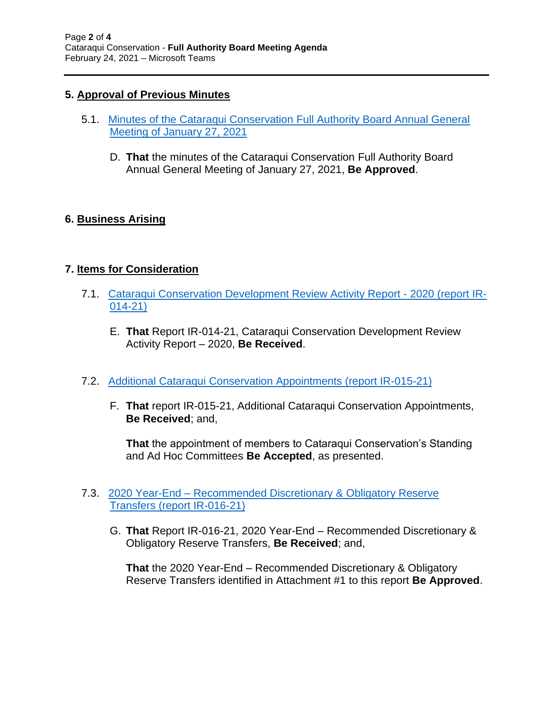## **5. Approval of Previous Minutes**

- 5.1. [Minutes of the Cataraqui Conservation Full Authority](http://www.crca.ca/wp-content/uploads/PDFs/board-agendas/2021/02/Item5.1.pdf) Board Annual General [Meeting of January 27, 2021](http://www.crca.ca/wp-content/uploads/PDFs/board-agendas/2021/02/Item5.1.pdf)
	- D. **That** the minutes of the Cataraqui Conservation Full Authority Board Annual General Meeting of January 27, 2021, **Be Approved**.

## **6. Business Arising**

## **7. Items for Consideration**

- 7.1. [Cataraqui Conservation Development Review Activity Report -](http://www.crca.ca/wp-content/uploads/PDFs/board-agendas/2021/02/Item7.1.pdf) 2020 (report IR-[014-21\)](http://www.crca.ca/wp-content/uploads/PDFs/board-agendas/2021/02/Item7.1.pdf)
	- E. **That** Report IR-014-21, Cataraqui Conservation Development Review Activity Report – 2020, **Be Received**.
- 7.2. [Additional Cataraqui Conservation Appointments \(report IR-015-21\)](http://www.crca.ca/wp-content/uploads/PDFs/board-agendas/2021/02/Item7.2.pdf)
	- F. **That** report IR-015-21, Additional Cataraqui Conservation Appointments, **Be Received**; and,

**That** the appointment of members to Cataraqui Conservation's Standing and Ad Hoc Committees **Be Accepted**, as presented.

- 7.3. 2020 Year-End [Recommended Discretionary & Obligatory Reserve](http://www.crca.ca/wp-content/uploads/PDFs/board-agendas/2021/02/Item7.3.pdf)  Transfers [\(report IR-016-21\)](http://www.crca.ca/wp-content/uploads/PDFs/board-agendas/2021/02/Item7.3.pdf)
	- G. **That** Report IR-016-21, 2020 Year-End Recommended Discretionary & Obligatory Reserve Transfers, **Be Received**; and,

**That** the 2020 Year-End – Recommended Discretionary & Obligatory Reserve Transfers identified in Attachment #1 to this report **Be Approved**.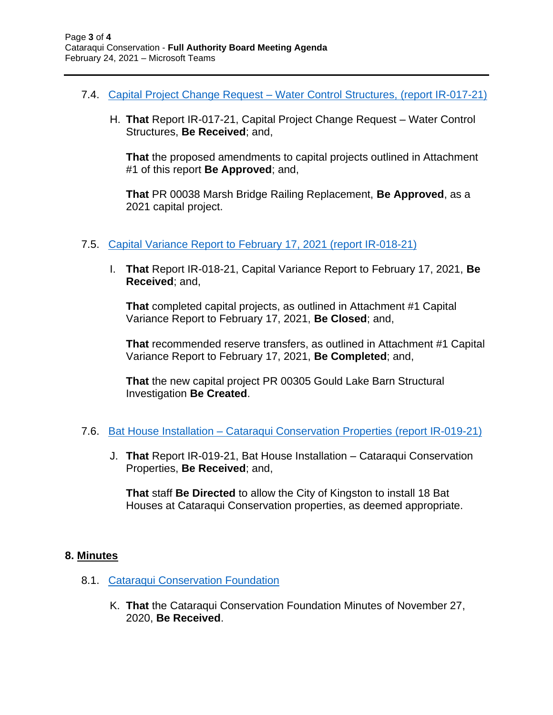- 7.4. Capital Project Change Request [Water Control Structures, \(report IR-017-21\)](http://www.crca.ca/wp-content/uploads/PDFs/board-agendas/2021/02/Item7.4.pdf)
	- H. **That** Report IR-017-21, Capital Project Change Request Water Control Structures, **Be Received**; and,

**That** the proposed amendments to capital projects outlined in Attachment #1 of this report **Be Approved**; and,

**That** PR 00038 Marsh Bridge Railing Replacement, **Be Approved**, as a 2021 capital project.

- 7.5. [Capital Variance Report to February 17, 2021](http://www.crca.ca/wp-content/uploads/PDFs/board-agendas/2021/02/Item7.5.pdf) (report IR-018-21)
	- I. **That** Report IR-018-21, Capital Variance Report to February 17, 2021, **Be Received**; and,

**That** completed capital projects, as outlined in Attachment #1 Capital Variance Report to February 17, 2021, **Be Closed**; and,

**That** recommended reserve transfers, as outlined in Attachment #1 Capital Variance Report to February 17, 2021, **Be Completed**; and,

**That** the new capital project PR 00305 Gould Lake Barn Structural Investigation **Be Created**.

- 7.6. Bat House Installation [Cataraqui Conservation Properties](http://www.crca.ca/wp-content/uploads/PDFs/board-agendas/2021/02/Item7.6.pdf) (report IR-019-21)
	- J. **That** Report IR-019-21, Bat House Installation Cataraqui Conservation Properties, **Be Received**; and,

**That** staff **Be Directed** to allow the City of Kingston to install 18 Bat Houses at Cataraqui Conservation properties, as deemed appropriate.

#### **8. Minutes**

- 8.1. [Cataraqui Conservation Foundation](http://www.crca.ca/wp-content/uploads/PDFs/board-agendas/2021/02/Item8.1.pdf)
	- K. **That** the Cataraqui Conservation Foundation Minutes of November 27, 2020, **Be Received**.